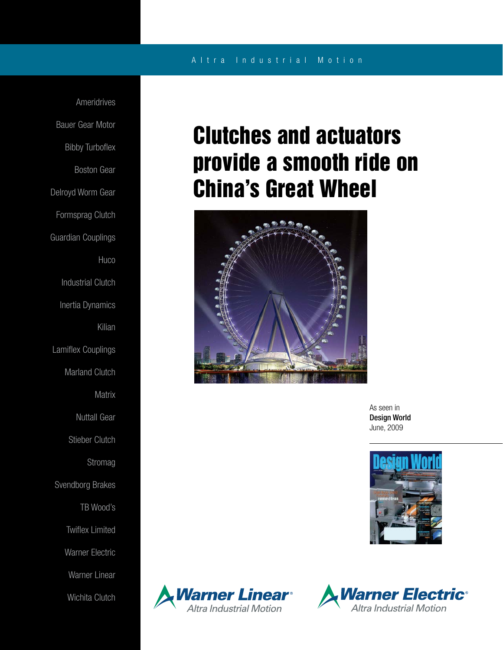## A l t r a Industrial Motion

Ameridrives Bauer Gear Motor Bibby Turboflex Boston Gear Delroyd Worm Gear Formsprag Clutch Guardian Couplings **Huco** Industrial Clutch Inertia Dynamics Kilian Lamiflex Couplings Marland Clutch **Matrix** Nuttall Gear Stieber Clutch Stromag Svendborg Brakes TB Wood's Twiflex Limited Warner Electric Warner Linear Wichita Clutch

## Clutches and actuators provide a smooth ride on China's Great Wheel



As seen in Design World June, 2009





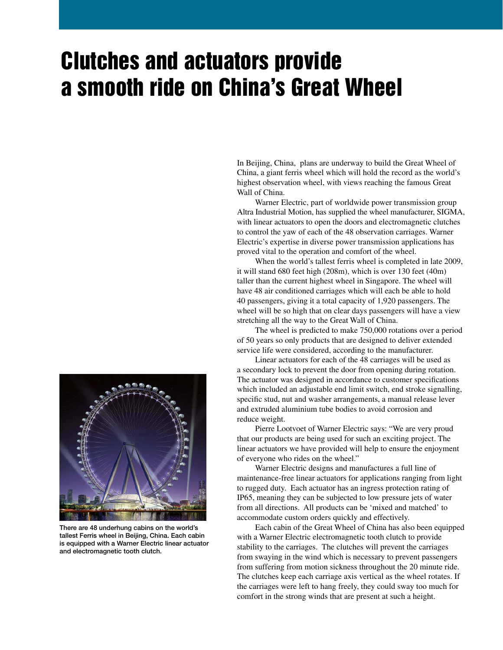## Clutches and actuators provide a smooth ride on China's Great Wheel

In Beijing, China, plans are underway to build the Great Wheel of China, a giant ferris wheel which will hold the record as the world's highest observation wheel, with views reaching the famous Great Wall of China.

 Warner Electric, part of worldwide power transmission group Altra Industrial Motion, has supplied the wheel manufacturer, SIGMA, with linear actuators to open the doors and electromagnetic clutches to control the yaw of each of the 48 observation carriages. Warner Electric's expertise in diverse power transmission applications has proved vital to the operation and comfort of the wheel.

 When the world's tallest ferris wheel is completed in late 2009, it will stand 680 feet high (208m), which is over 130 feet (40m) taller than the current highest wheel in Singapore. The wheel will have 48 air conditioned carriages which will each be able to hold 40 passengers, giving it a total capacity of 1,920 passengers. The wheel will be so high that on clear days passengers will have a view stretching all the way to the Great Wall of China.

 The wheel is predicted to make 750,000 rotations over a period of 50 years so only products that are designed to deliver extended service life were considered, according to the manufacturer.

 Linear actuators for each of the 48 carriages will be used as a secondary lock to prevent the door from opening during rotation. The actuator was designed in accordance to customer specifications which included an adjustable end limit switch, end stroke signalling, specific stud, nut and washer arrangements, a manual release lever and extruded aluminium tube bodies to avoid corrosion and reduce weight.

 Pierre Lootvoet of Warner Electric says: "We are very proud that our products are being used for such an exciting project. The linear actuators we have provided will help to ensure the enjoyment of everyone who rides on the wheel."

 Warner Electric designs and manufactures a full line of maintenance-free linear actuators for applications ranging from light to rugged duty. Each actuator has an ingress protection rating of IP65, meaning they can be subjected to low pressure jets of water from all directions. All products can be 'mixed and matched' to accommodate custom orders quickly and effectively.

 Each cabin of the Great Wheel of China has also been equipped with a Warner Electric electromagnetic tooth clutch to provide stability to the carriages. The clutches will prevent the carriages from swaying in the wind which is necessary to prevent passengers from suffering from motion sickness throughout the 20 minute ride. The clutches keep each carriage axis vertical as the wheel rotates. If the carriages were left to hang freely, they could sway too much for comfort in the strong winds that are present at such a height.



There are 48 underhung cabins on the world's tallest Ferris wheel in Beijing, China. Each cabin is equipped with a Warner Electric linear actuator and electromagnetic tooth clutch.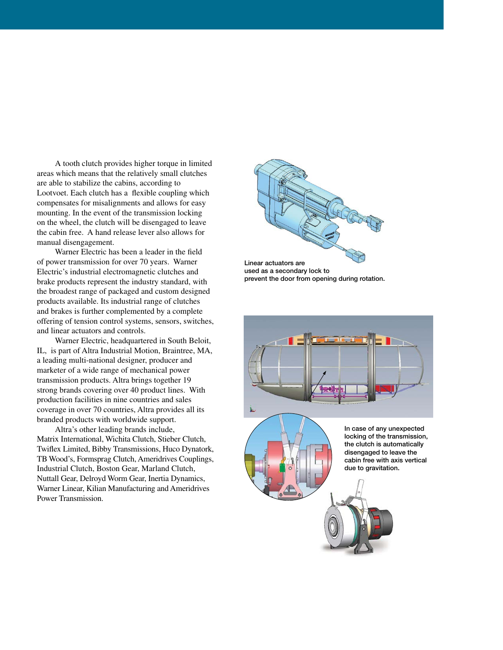A tooth clutch provides higher torque in limited areas which means that the relatively small clutches are able to stabilize the cabins, according to Lootvoet. Each clutch has a flexible coupling which compensates for misalignments and allows for easy mounting. In the event of the transmission locking on the wheel, the clutch will be disengaged to leave the cabin free. A hand release lever also allows for manual disengagement.

 Warner Electric has been a leader in the field of power transmission for over 70 years. Warner Electric's industrial electromagnetic clutches and brake products represent the industry standard, with the broadest range of packaged and custom designed products available. Its industrial range of clutches and brakes is further complemented by a complete offering of tension control systems, sensors, switches, and linear actuators and controls.

 Warner Electric, headquartered in South Beloit, IL, is part of Altra Industrial Motion, Braintree, MA, a leading multi-national designer, producer and marketer of a wide range of mechanical power transmission products. Altra brings together 19 strong brands covering over 40 product lines. With production facilities in nine countries and sales coverage in over 70 countries, Altra provides all its branded products with worldwide support.

 Altra's other leading brands include, Matrix International, Wichita Clutch, Stieber Clutch, Twiflex Limited, Bibby Transmissions, Huco Dynatork, TB Wood's, Formsprag Clutch, Ameridrives Couplings, Industrial Clutch, Boston Gear, Marland Clutch, Nuttall Gear, Delroyd Worm Gear, Inertia Dynamics, Warner Linear, Kilian Manufacturing and Ameridrives Power Transmission.



used as a secondary lock to prevent the door from opening during rotation.